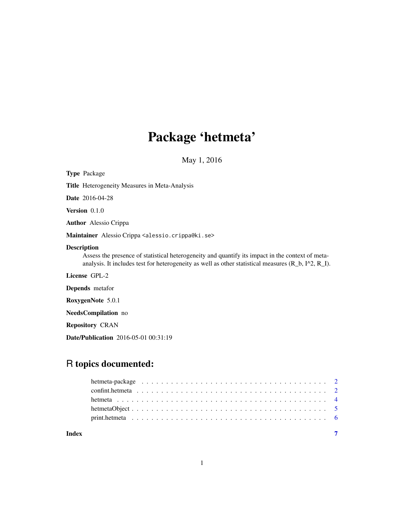# Package 'hetmeta'

May 1, 2016

<span id="page-0-0"></span>

| <b>Type Package</b>                                                                                                                                                                                                              |
|----------------------------------------------------------------------------------------------------------------------------------------------------------------------------------------------------------------------------------|
| <b>Title</b> Heterogeneity Measures in Meta-Analysis                                                                                                                                                                             |
| <b>Date</b> 2016-04-28                                                                                                                                                                                                           |
| <b>Version</b> $0.1.0$                                                                                                                                                                                                           |
| <b>Author</b> Alessio Crippa                                                                                                                                                                                                     |
| Maintainer Alessio Crippa <alessio.crippa@ki.se></alessio.crippa@ki.se>                                                                                                                                                          |
| <b>Description</b><br>Assess the presence of statistical heterogeneity and quantify its impact in the context of meta-<br>analysis. It includes test for heterogeneity as well as other statistical measures $(R_b, I^2, R_l)$ . |
| License GPL-2                                                                                                                                                                                                                    |
| <b>Depends</b> metafor                                                                                                                                                                                                           |
| RoxygenNote 5.0.1                                                                                                                                                                                                                |
| <b>NeedsCompilation</b> no                                                                                                                                                                                                       |
| <b>Repository CRAN</b>                                                                                                                                                                                                           |
| <b>Date/Publication</b> 2016-05-01 00:31:19                                                                                                                                                                                      |

# R topics documented:

| Index |  |  |  |  |  |  |  |  |  |  |  |  |  |  |  |  |  |  |  |
|-------|--|--|--|--|--|--|--|--|--|--|--|--|--|--|--|--|--|--|--|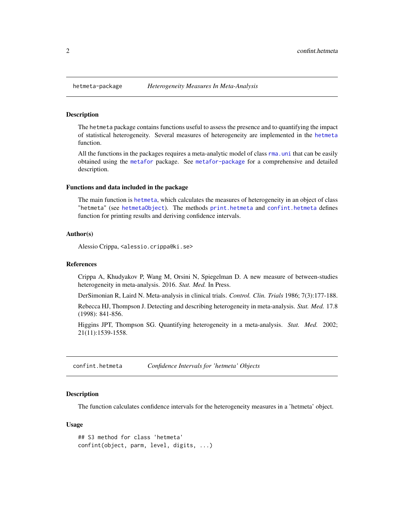#### Description

The hetmeta package contains functions useful to assess the presence and to quantifying the impact of statistical heterogeneity. Several measures of heterogeneity are implemented in the [hetmeta](#page-3-1) function.

All the functions in the packages requires a meta-analytic model of class [rma.uni](#page-0-0) that can be easily obtained using the [metafor](#page-0-0) package. See [metafor-package](#page-0-0) for a comprehensive and detailed description.

#### Functions and data included in the package

The main function is [hetmeta](#page-3-1), which calculates the measures of heterogeneity in an object of class "hetmeta" (see [hetmetaObject](#page-4-1)). The methods [print.hetmeta](#page-5-1) and [confint.hetmeta](#page-1-1) defines function for printing results and deriving confidence intervals.

#### Author(s)

Alessio Crippa, <alessio.crippa@ki.se>

#### References

Crippa A, Khudyakov P, Wang M, Orsini N, Spiegelman D. A new measure of between-studies heterogeneity in meta-analysis. 2016. *Stat. Med.* In Press.

DerSimonian R, Laird N. Meta-analysis in clinical trials. *Control. Clin. Trials* 1986; 7(3):177-188.

Rebecca HJ, Thompson J. Detecting and describing heterogeneity in meta-analysis. *Stat. Med.* 17.8 (1998): 841-856.

Higgins JPT, Thompson SG. Quantifying heterogeneity in a meta-analysis. *Stat. Med.* 2002; 21(11):1539-1558.

<span id="page-1-1"></span>confint.hetmeta *Confidence Intervals for 'hetmeta' Objects*

#### Description

The function calculates confidence intervals for the heterogeneity measures in a 'hetmeta' object.

#### Usage

```
## S3 method for class 'hetmeta'
confint(object, parm, level, digits, ...)
```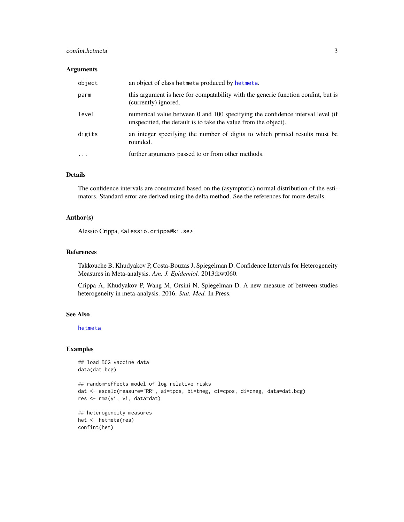# <span id="page-2-0"></span>confint.hetmeta 3

### Arguments

| object  | an object of class hetmeta produced by hetmeta.                                                                                                   |
|---------|---------------------------------------------------------------------------------------------------------------------------------------------------|
| parm    | this argument is here for compatability with the generic function confint, but is<br>(currently) ignored.                                         |
| level   | numerical value between 0 and 100 specifying the confidence interval level (if<br>unspecified, the default is to take the value from the object). |
| digits  | an integer specifying the number of digits to which printed results must be<br>rounded.                                                           |
| $\cdot$ | further arguments passed to or from other methods.                                                                                                |

# Details

The confidence intervals are constructed based on the (asymptotic) normal distribution of the estimators. Standard error are derived using the delta method. See the references for more details.

#### Author(s)

Alessio Crippa, <alessio.crippa@ki.se>

#### References

Takkouche B, Khudyakov P, Costa-Bouzas J, Spiegelman D. Confidence Intervals for Heterogeneity Measures in Meta-analysis. *Am. J. Epidemiol.* 2013:kwt060.

Crippa A, Khudyakov P, Wang M, Orsini N, Spiegelman D. A new measure of between-studies heterogeneity in meta-analysis. 2016. *Stat. Med.* In Press.

#### See Also

[hetmeta](#page-3-1)

#### Examples

```
## load BCG vaccine data
data(dat.bcg)
```

```
## random-effects model of log relative risks
dat <- escalc(measure="RR", ai=tpos, bi=tneg, ci=cpos, di=cneg, data=dat.bcg)
res <- rma(yi, vi, data=dat)
```

```
## heterogeneity measures
het <- hetmeta(res)
confint(het)
```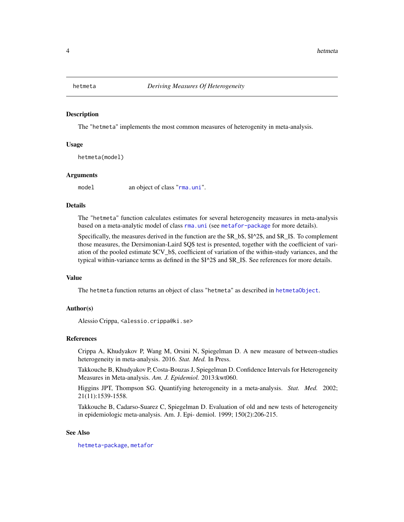<span id="page-3-1"></span><span id="page-3-0"></span>

#### Description

The "hetmeta" implements the most common measures of heterogenity in meta-analysis.

#### Usage

hetmeta(model)

#### Arguments

model an object of class "[rma.uni](#page-0-0)".

#### Details

The "hetmeta" function calculates estimates for several heterogeneity measures in meta-analysis based on a meta-analytic model of class [rma.uni](#page-0-0) (see [metafor-package](#page-0-0) for more details).

Specifically, the measures derived in the function are the \$R\_b\$, \$I^2\$, and \$R\_I\$. To complement those measures, the Dersimonian-Laird \$Q\$ test is presented, together with the coefficient of variation of the pooled estimate \$CV\_b\$, coefficient of variation of the within-study variances, and the typical within-variance terms as defined in the \$I^2\$ and \$R\_I\$. See references for more details.

#### Value

The hetmeta function returns an object of class "hetmeta" as described in [hetmetaObject](#page-4-1).

# Author(s)

Alessio Crippa, <alessio.crippa@ki.se>

#### References

Crippa A, Khudyakov P, Wang M, Orsini N, Spiegelman D. A new measure of between-studies heterogeneity in meta-analysis. 2016. *Stat. Med.* In Press.

Takkouche B, Khudyakov P, Costa-Bouzas J, Spiegelman D. Confidence Intervals for Heterogeneity Measures in Meta-analysis. *Am. J. Epidemiol.* 2013:kwt060.

Higgins JPT, Thompson SG. Quantifying heterogeneity in a meta-analysis. *Stat. Med.* 2002; 21(11):1539-1558.

Takkouche B, Cadarso-Suarez C, Spiegelman D. Evaluation of old and new tests of heterogeneity in epidemiologic meta-analysis. Am. J. Epi- demiol. 1999; 150(2):206-215.

#### See Also

[hetmeta-package](#page-1-2), [metafor](#page-0-0)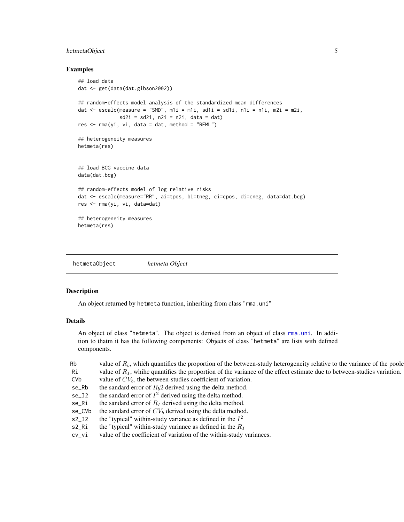# <span id="page-4-0"></span>hetmetaObject 5

# Examples

```
## load data
dat <- get(data(dat.gibson2002))
## random-effects model analysis of the standardized mean differences
dat \leq escalc(measure = "SMD", m1i = m1i, sd1i = sd1i, n1i = n1i, m2i = m2i,
              sd2i = sd2i, n2i = n2i, data = dat)res < -rma(yi, vi, data = dat, method = "REML")## heterogeneity measures
hetmeta(res)
## load BCG vaccine data
data(dat.bcg)
## random-effects model of log relative risks
dat <- escalc(measure="RR", ai=tpos, bi=tneg, ci=cpos, di=cneg, data=dat.bcg)
res <- rma(yi, vi, data=dat)
## heterogeneity measures
hetmeta(res)
```
<span id="page-4-1"></span>hetmetaObject *hetmeta Object*

#### Description

An object returned by hetmeta function, inheriting from class "rma.uni"

#### Details

An object of class "hetmeta". The object is derived from an object of class [rma.uni](#page-0-0). In addition to thatm it has the following components: Objects of class "hetmeta" are lists with defined components.

| Rb         | value of $R_b$ , which quantifies the proportion of the between-study heterogeneity relative to the variance of the poole |
|------------|---------------------------------------------------------------------------------------------------------------------------|
| Ri         | value of $R_I$ , whihe quantifies the proportion of the variance of the effect estimate due to between-studies variation. |
| <b>CVb</b> | value of $CV_b$ , the between-studies coefficient of variation.                                                           |
| se_Rb      | the sandard error of $R_b$ 2 derived using the delta method.                                                              |
| $se_12$    | the sandard error of $I^2$ derived using the delta method.                                                                |
| se_Ri      | the sandard error of $R_I$ derived using the delta method.                                                                |
| se_CVb     | the sandard error of $CV_b$ derived using the delta method.                                                               |
| $S^2_{I}$  | the "typical" within-study variance as defined in the $I^2$                                                               |
| s2_Ri      | the "typical" within-study variance as defined in the $R_I$                                                               |
| cv_vi      | value of the coefficient of variation of the within-study variances.                                                      |
|            |                                                                                                                           |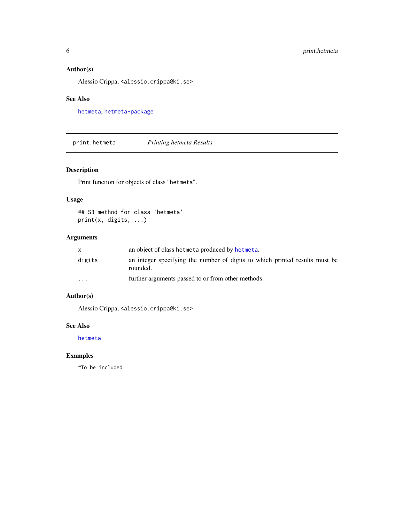# <span id="page-5-0"></span>Author(s)

Alessio Crippa, <alessio.crippa@ki.se>

# See Also

[hetmeta](#page-3-1), [hetmeta-package](#page-1-2)

<span id="page-5-1"></span>print.hetmeta *Printing hetmeta Results*

# Description

Print function for objects of class "hetmeta".

# Usage

```
## S3 method for class 'hetmeta'
print(x, digits, ...)
```
# Arguments

|          | an object of class hetmeta produced by hetmeta.                                         |
|----------|-----------------------------------------------------------------------------------------|
| digits   | an integer specifying the number of digits to which printed results must be<br>rounded. |
| $\cdots$ | further arguments passed to or from other methods.                                      |

# Author(s)

Alessio Crippa, <alessio.crippa@ki.se>

# See Also

[hetmeta](#page-3-1)

# Examples

#To be included